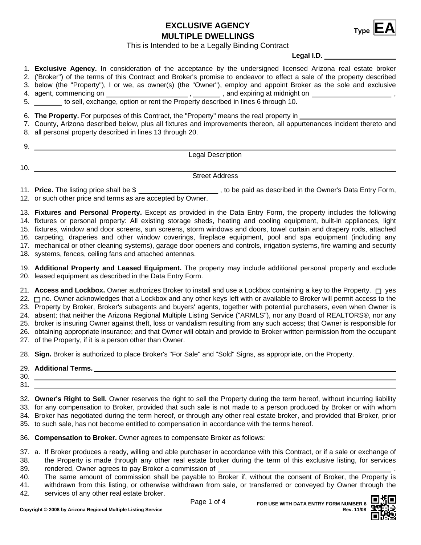**Type EXCLUSIVE AGENCY EA MULTIPLE DWELLINGS**



This is Intended to be a Legally Binding Contract

**Legal I.D.**

- 1. **Exclusive Agency.** In consideration of the acceptance by the undersigned licensed Arizona real estate broker
- 2. ('Broker") of the terms of this Contract and Broker's promise to endeavor to effect a sale of the property described
- 3. below (the "Property"), I or we, as owner(s) (the "Owner"), employ and appoint Broker as the sole and exclusive
- agent, commencing on , 4. , and expiring at midnight on , 5. to sell, exchange, option or rent the Property described in lines 6 through 10.

6. **The Property.** For purposes of this Contract, the "Property" means the real property in

- 7. County, Arizona described below, plus all fixtures and improvements thereon, all appurtenances incident thereto and
- 8. all personal property described in lines 13 through 20.

| ັ |                                                     |
|---|-----------------------------------------------------|
|   | anal I<br>Description<br>$-$<br>. <b>.</b><br>- - - |

10.

 $\sim$ 

Street Address

11. **Price.** The listing price shall be \$ \_\_\_\_\_\_\_\_\_\_\_\_\_\_\_\_\_\_\_\_\_, to be paid as described in the Owner's Data Entry Form,

12. or such other price and terms as are accepted by Owner.

13. **Fixtures and Personal Property.** Except as provided in the Data Entry Form, the property includes the following

14. fixtures or personal property: All existing storage sheds, heating and cooling equipment, built-in appliances, light

15. fixtures, window and door screens, sun screens, storm windows and doors, towel curtain and drapery rods, attached 16. carpeting, draperies and other window coverings, fireplace equipment, pool and spa equipment (including any

17. mechanical or other cleaning systems), garage door openers and controls, irrigation systems, fire warning and security

18. systems, fences, ceiling fans and attached antennas.

19. **Additional Property and Leased Equipment.** The property may include additional personal property and exclude 20. leased equipment as described in the Data Entry Form.

21. **Access and Lockbox.** Owner authorizes Broker to install and use a Lockbox containing a key to the Property. □ yes 22. □ no. Owner acknowledges that a Lockbox and any other keys left with or available to Broker will permit access to the 23. Property by Broker, Broker's subagents and buyers' agents, together with potential purchasers, even when Owner is 24. absent; that neither the Arizona Regional Multiple Listing Service ("ARMLS"), nor any Board of REALTORS®, nor any 25. broker is insuring Owner against theft, loss or vandalism resulting from any such access; that Owner is responsible for 26. obtaining appropriate insurance; and that Owner will obtain and provide to Broker written permission from the occupant

27. of the Property, if it is a person other than Owner.

28. **Sign.** Broker is authorized to place Broker's "For Sale" and "Sold" Signs, as appropriate, on the Property.

- 30. 31.
- 32. **Owner's Right to Sell.** Owner reserves the right to sell the Property during the term hereof, without incurring liability 33. for any compensation to Broker, provided that such sale is not made to a person produced by Broker or with whom 34. Broker has negotiated during the term hereof, or through any other real estate broker, and provided that Broker, prior 35. to such sale, has not become entitled to compensation in accordance with the terms hereof.

36. **Compensation to Broker.** Owner agrees to compensate Broker as follows:

37. a. If Broker produces a ready, willing and able purchaser in accordance with this Contract, or if a sale or exchange of the Property is made through any other real estate broker during the term of this exclusive listing, for services 38.

- rendered, Owner agrees to pay Broker a commission of 39.
- The same amount of commission shall be payable to Broker if, without the consent of Broker, the Property is 40.

withdrawn from this listing, or otherwise withdrawn from sale, or transferred or conveyed by Owner through the 41.

services of any other real estate broker. 42.

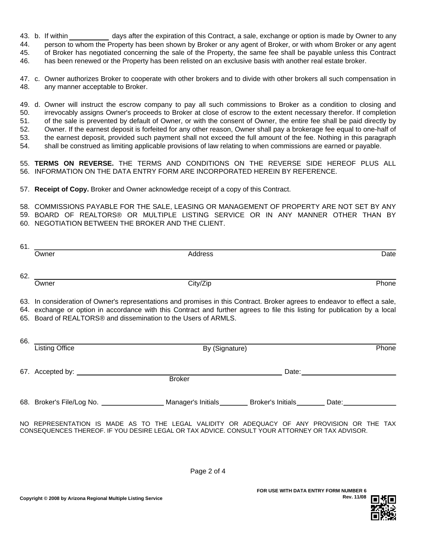43. b. If within days after the expiration of this Contract, a sale, exchange or option is made by Owner to any

44. person to whom the Property has been shown by Broker or any agent of Broker, or with whom Broker or any agent

45. of Broker has negotiated concerning the sale of the Property, the same fee shall be payable unless this Contract

46. has been renewed or the Property has been relisted on an exclusive basis with another real estate broker.

47. c. Owner authorizes Broker to cooperate with other brokers and to divide with other brokers all such compensation in 48. any manner acceptable to Broker.

49. d. Owner will instruct the escrow company to pay all such commissions to Broker as a condition to closing and 50. irrevocably assigns Owner's proceeds to Broker at close of escrow to the extent necessary therefor. If completion of the sale is prevented by default of Owner, or with the consent of Owner, the entire fee shall be paid directly by Owner. If the earnest deposit is forfeited for any other reason, Owner shall pay a brokerage fee equal to one-half of the earnest deposit, provided such payment shall not exceed the full amount of the fee. Nothing in this paragraph shall be construed as limiting applicable provisions of law relating to when commissions are earned or payable. 51. 52. 53. 54.

55. **TERMS ON REVERSE.** THE TERMS AND CONDITIONS ON THE REVERSE SIDE HEREOF PLUS ALL 56. INFORMATION ON THE DATA ENTRY FORM ARE INCORPORATED HEREIN BY REFERENCE.

57. **Receipt of Copy.** Broker and Owner acknowledge receipt of a copy of this Contract.

58. COMMISSIONS PAYABLE FOR THE SALE, LEASING OR MANAGEMENT OF PROPERTY ARE NOT SET BY ANY BOARD OF REALTORS® OR MULTIPLE LISTING SERVICE OR IN ANY MANNER OTHER THAN BY 59. 60. NEGOTIATION BETWEEN THE BROKER AND THE CLIENT.

|     | Owner                                                                                                                                                                                                                                                                                                                       | Address                                                                                                                                                                                  |  | Date                                |     |  |
|-----|-----------------------------------------------------------------------------------------------------------------------------------------------------------------------------------------------------------------------------------------------------------------------------------------------------------------------------|------------------------------------------------------------------------------------------------------------------------------------------------------------------------------------------|--|-------------------------------------|-----|--|
|     | Owner                                                                                                                                                                                                                                                                                                                       | City/Zip                                                                                                                                                                                 |  | Phone                               |     |  |
|     | 63. In consideration of Owner's representations and promises in this Contract. Broker agrees to endeavor to effect a sale,<br>64. exchange or option in accordance with this Contract and further agrees to file this listing for publication by a local<br>65. Board of REALTORS® and dissemination to the Users of ARMLS. |                                                                                                                                                                                          |  |                                     |     |  |
| 66. | Listing Office                                                                                                                                                                                                                                                                                                              | By (Signature)                                                                                                                                                                           |  | Phone                               |     |  |
|     |                                                                                                                                                                                                                                                                                                                             | <b>Broker</b>                                                                                                                                                                            |  | Date: <u>______________________</u> |     |  |
|     |                                                                                                                                                                                                                                                                                                                             | 68. Broker's File/Log No. ______________________ Manager's Initials ________ Broker's Initials _______ Date: _______________                                                             |  |                                     |     |  |
|     |                                                                                                                                                                                                                                                                                                                             | NO REPRESENTATION IS MADE AS TO THE LEGAL VALIDITY OR ADEQUACY OF ANY PROVISION OR THE<br>CONSEQUENCES THEREOF. IF YOU DESIRE LEGAL OR TAX ADVICE. CONSULT YOUR ATTORNEY OR TAX ADVISOR. |  |                                     | TAX |  |

Page 2 of 4

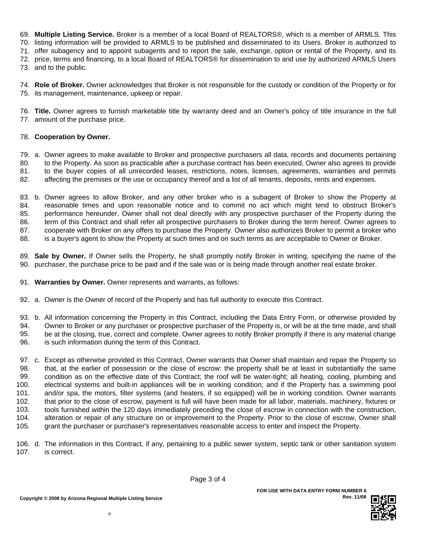69. **Multiple Listing Service.** Broker is a member of a local Board of REALTORS®, which is a member of ARMLS. This

70. listing information will be provided to ARMLS to be published and disseminated to its Users. Broker is authorized to

71. offer subagency and to appoint subagents and to report the sale, exchange, option or rental of the Property, and its

72. price, terms and financing, to a local Board of REALTORS® for dissemination to and use by authorized ARMLS Users

73. and to the public.

74. **Role of Broker.** Owner acknowledges that Broker is not responsible for the custody or condition of the Property or for 75. its management, maintenance, upkeep or repair.

76. **Title.** Owner agrees to furnish marketable title by warranty deed and an Owner's policy of title insurance in the full 77. amount of the purchase price.

## 78. **Cooperation by Owner.**

79. a. Owner agrees to make available to Broker and prospective purchasers all data, records and documents pertaining 80. to the Property. As soon as practicable after a purchase contract has been executed, Owner also agrees to provide

81. to the buyer copies of all unrecorded leases, restrictions, notes, licenses, agreements, warranties and permits 82. affecting the premises or the use or occupancy thereof and a list of all tenants, deposits, rents and expenses.

83. b. Owner agrees to allow Broker, and any other broker who is a subagent of Broker to show the Property at 84. 85. reasonable times and upon reasonable notice and to commit no act which might tend to obstruct Broker's performance hereunder. Owner shall not deal directly with any prospective purchaser of the Property during the term of this Contract and shall refer all prospective purchasers to Broker during the term hereof. Owner agrees to cooperate with Broker on any offers to purchase the Property. Owner also authorizes Broker to permit a broker who is a buyer's agent to show the Property at such times and on such terms as are acceptable to Owner or Broker. 86. 87. 88.

89. **Sale by Owner.** If Owner sells the Property, he shall promptly notify Broker in writing, specifying the name of the 90. purchaser, the purchase price to be paid and if the sale was or is being made through another real estate broker.

- 91. **Warranties by Owner.** Owner represents and warrants, as follows:
- 92. a. Owner is the Owner of record of the Property and has full authority to execute this Contract.
- 93. b. All information concerning the Property in this Contract, including the Data Entry Form, or otherwise provided by
- Owner to Broker or any purchaser or prospective purchaser of the Property is, or will be at the time made, and shall 94.
- be at the closing, true, correct and complete. Owner agrees to notify Broker promptly if there is any material change 95.
- is such information during the term of this Contract. 96.

97. c. Except as otherwise provided in this Contract, Owner warrants that Owner shall maintain and repair the Property so that, at the earlier of possession or the close of escrow: the property shall be at least in substantially the same condition as on the effective date of this Contract; the roof will be water-tight; all heating, cooling, plumbing and electrical systems and built-in appliances will be in working condition; and if the Property has a swimming pool and/or spa, the motors, filter systems (and heaters, if so equipped) will be in working condition. Owner warrants that prior to the close of escrow, payment is full will have been made for all labor, materials, machinery, fixtures or tools furnished within the 120 days immediately preceding the close of escrow in connection with the construction, alteration or repair of any structure on or improvement to the Property. Prior to the close of escrow, Owner shall grant the purchaser or purchaser's representatives reasonable access to enter and inspect the Property. 98. 99. 100. 101. 102. 103. 104. 105.

106. d. The information in this Contract, if any, pertaining to a public sewer system, septic tank or other sanitation system 107. is correct.

**Rev. 11/08**

**FOR USE WITH DATA ENTRY FORM NUMBER 6**